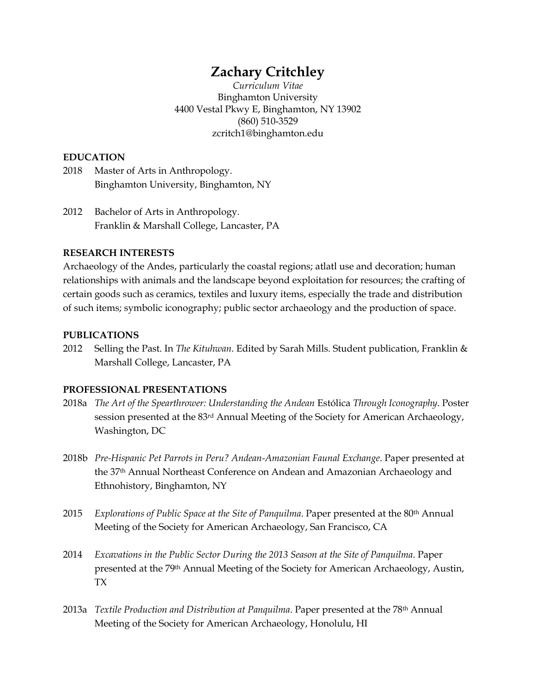# **Zachary Critchley**

*Curriculum Vitae* Binghamton University 4400 Vestal Pkwy E, Binghamton, NY 13902 (860) 510-3529 zcritch1@binghamton.edu

## **EDUCATION**

- 2018 Master of Arts in Anthropology. Binghamton University, Binghamton, NY
- 2012 Bachelor of Arts in Anthropology. Franklin & Marshall College, Lancaster, PA

# **RESEARCH INTERESTS**

Archaeology of the Andes, particularly the coastal regions; atlatl use and decoration; human relationships with animals and the landscape beyond exploitation for resources; the crafting of certain goods such as ceramics, textiles and luxury items, especially the trade and distribution of such items; symbolic iconography; public sector archaeology and the production of space.

## **PUBLICATIONS**

2012 Selling the Past. In *The Kituhwan*. Edited by Sarah Mills. Student publication, Franklin & Marshall College, Lancaster, PA

## **PROFESSIONAL PRESENTATIONS**

- 2018a *The Art of the Spearthrower: Understanding the Andean* Estólica *Through Iconography*. Poster session presented at the 83<sup>rd</sup> Annual Meeting of the Society for American Archaeology, Washington, DC
- 2018b *Pre-Hispanic Pet Parrots in Peru? Andean-Amazonian Faunal Exchange*. Paper presented at the 37th Annual Northeast Conference on Andean and Amazonian Archaeology and Ethnohistory, Binghamton, NY
- 2015 *Explorations of Public Space at the Site of Panquilma*. Paper presented at the 80th Annual Meeting of the Society for American Archaeology, San Francisco, CA
- 2014 *Excavations in the Public Sector During the 2013 Season at the Site of Panquilma*. Paper presented at the 79th Annual Meeting of the Society for American Archaeology, Austin, TX
- 2013a *Textile Production and Distribution at Panquilma*. Paper presented at the 78th Annual Meeting of the Society for American Archaeology, Honolulu, HI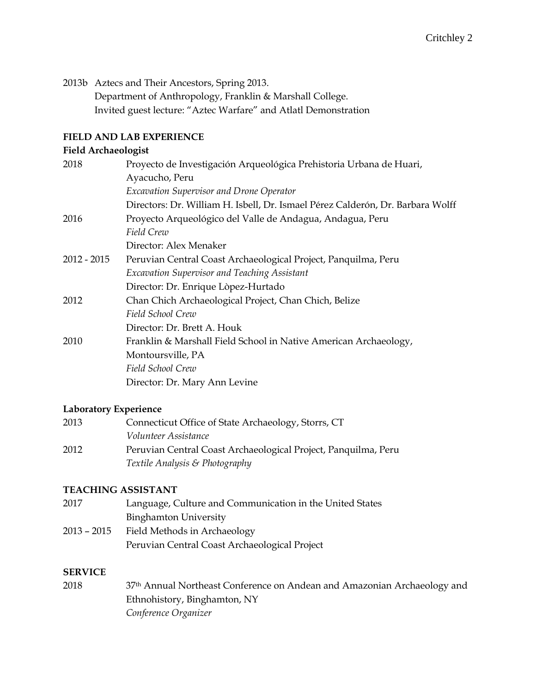2013b Aztecs and Their Ancestors, Spring 2013.

Department of Anthropology, Franklin & Marshall College. Invited guest lecture: "Aztec Warfare" and Atlatl Demonstration

## **FIELD AND LAB EXPERIENCE**

# **Field Archaeologist**

| 2018          | Proyecto de Investigación Arqueológica Prehistoria Urbana de Huari,            |
|---------------|--------------------------------------------------------------------------------|
|               | Ayacucho, Peru                                                                 |
|               | Excavation Supervisor and Drone Operator                                       |
|               | Directors: Dr. William H. Isbell, Dr. Ismael Pérez Calderón, Dr. Barbara Wolff |
| 2016          | Proyecto Arqueológico del Valle de Andagua, Andagua, Peru                      |
|               | Field Crew                                                                     |
|               | Director: Alex Menaker                                                         |
| $2012 - 2015$ | Peruvian Central Coast Archaeological Project, Panquilma, Peru                 |
|               | Excavation Supervisor and Teaching Assistant                                   |
|               | Director: Dr. Enrique Lòpez-Hurtado                                            |
| 2012          | Chan Chich Archaeological Project, Chan Chich, Belize                          |
|               | Field School Crew                                                              |
|               | Director: Dr. Brett A. Houk                                                    |
| 2010          | Franklin & Marshall Field School in Native American Archaeology,               |
|               | Montoursville, PA                                                              |
|               | Field School Crew                                                              |
|               | Director: Dr. Mary Ann Levine                                                  |
|               |                                                                                |

#### **Laboratory Experience**

| 2013 | Connecticut Office of State Archaeology, Storrs, CT            |
|------|----------------------------------------------------------------|
|      | <i>Volunteer Assistance</i>                                    |
| 2012 | Peruvian Central Coast Archaeological Project, Panquilma, Peru |
|      | Textile Analysis & Photography                                 |

## **TEACHING ASSISTANT**

| 2017        | Language, Culture and Communication in the United States |
|-------------|----------------------------------------------------------|
|             | <b>Binghamton University</b>                             |
| 2013 – 2015 | Field Methods in Archaeology                             |
|             | Peruvian Central Coast Archaeological Project            |
|             |                                                          |

#### **SERVICE**

2018 37th Annual Northeast Conference on Andean and Amazonian Archaeology and Ethnohistory, Binghamton, NY *Conference Organizer*